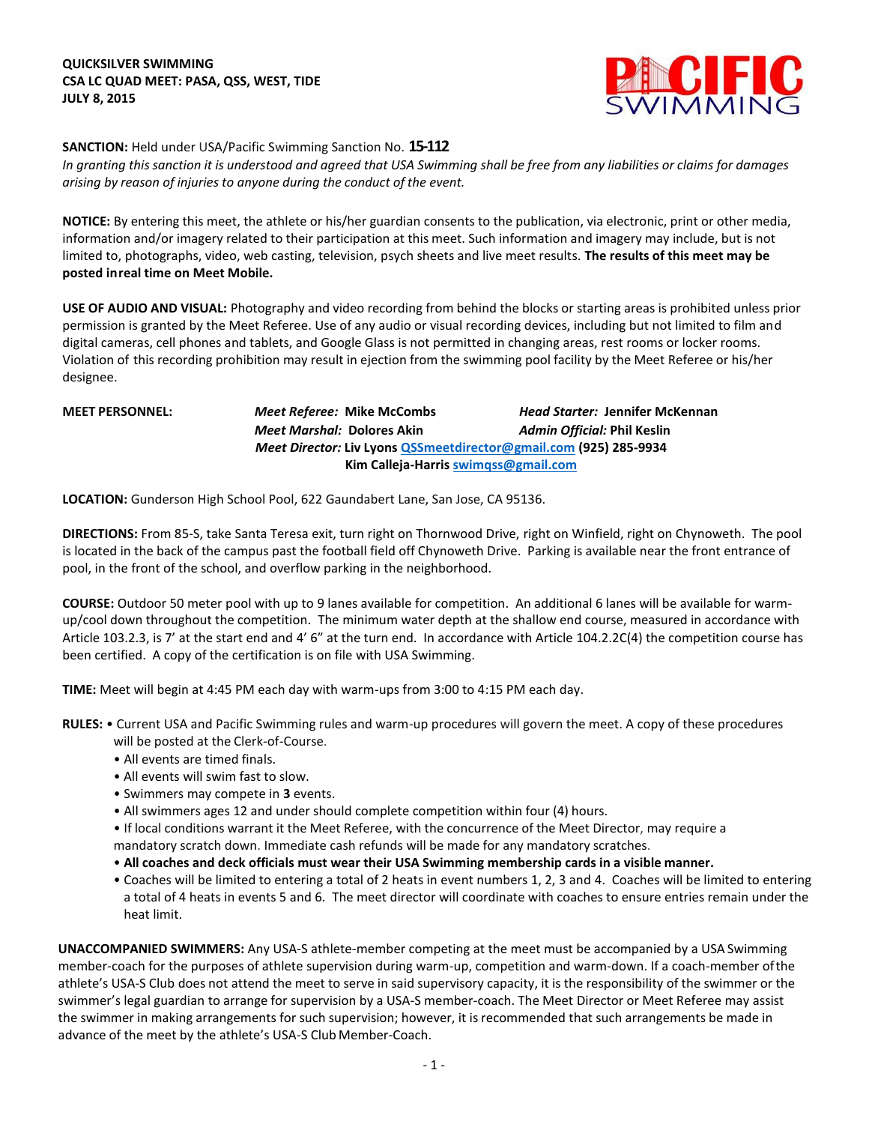

## **SANCTION:** Held under USA/Pacific Swimming Sanction No. **15-112**

In granting this sanction it is understood and agreed that USA Swimming shall be free from any liabilities or claims for damages *arising by reason of injuries to anyone during the conduct of the event.*

**NOTICE:** By entering this meet, the athlete or his/her guardian consents to the publication, via electronic, print or other media, information and/or imagery related to their participation at this meet. Such information and imagery may include, but is not limited to, photographs, video, web casting, television, psych sheets and live meet results. **The results of this meet may be posted inreal time on Meet Mobile.**

**USE OF AUDIO AND VISUAL:** Photography and video recording from behind the blocks or starting areas is prohibited unless prior permission is granted by the Meet Referee. Use of any audio or visual recording devices, including but not limited to film and digital cameras, cell phones and tablets, and Google Glass is not permitted in changing areas, rest rooms or locker rooms. Violation of this recording prohibition may result in ejection from the swimming pool facility by the Meet Referee or his/her designee.

**MEET PERSONNEL:** *Meet Referee:* **Mike McCombs** *Head Starter:* **Jennifer McKennan** *Meet Marshal:* **Dolores Akin** *Admin Official:* **Phil Keslin** *Meet Director:* **Liv Lyon[s QSSmeetdirector@gmail.com](mailto:QSSmeetdirector@gmail.com) (925) 285-9934** **Kim Calleja-Harris [swimqss@gmail.com](mailto:swimqss@gmail.com)**

**LOCATION:** Gunderson High School Pool, 622 Gaundabert Lane, San Jose, CA 95136.

**DIRECTIONS:** From 85-S, take Santa Teresa exit, turn right on Thornwood Drive, right on Winfield, right on Chynoweth. The pool is located in the back of the campus past the football field off Chynoweth Drive. Parking is available near the front entrance of pool, in the front of the school, and overflow parking in the neighborhood.

**COURSE:** Outdoor 50 meter pool with up to 9 lanes available for competition.An additional 6 lanes will be available for warmup/cool down throughout the competition. The minimum water depth at the shallow end course, measured in accordance with Article 103.2.3, is 7' at the start end and 4' 6" at the turn end. In accordance with Article 104.2.2C(4) the competition course has been certified. A copy of the certification is on file with USA Swimming.

**TIME:** Meet will begin at 4:45 PM each day with warm-ups from 3:00 to 4:15 PM each day.

- **RULES:**  Current USA and Pacific Swimming rules and warm-up procedures will govern the meet. A copy of these procedures will be posted at the Clerk-of-Course.
	- All events are timed finals.
	- All events will swim fast to slow.
	- Swimmers may compete in **3** events.
	- All swimmers ages 12 and under should complete competition within four (4) hours.
	- If local conditions warrant it the Meet Referee, with the concurrence of the Meet Director, may require a mandatory scratch down. Immediate cash refunds will be made for any mandatory scratches.
	- **All coaches and deck officials must wear their USA Swimming membership cards in a visible manner.**
	- Coaches will be limited to entering a total of 2 heats in event numbers 1, 2, 3 and 4. Coaches will be limited to entering a total of 4 heats in events 5 and 6. The meet director will coordinate with coaches to ensure entries remain under the heat limit.

**UNACCOMPANIED SWIMMERS:** Any USA-S athlete-member competing at the meet must be accompanied by a USA Swimming member-coach for the purposes of athlete supervision during warm-up, competition and warm-down. If a coach-member ofthe athlete's USA-S Club does not attend the meet to serve in said supervisory capacity, it is the responsibility of the swimmer or the swimmer's legal guardian to arrange for supervision by a USA-S member-coach. The Meet Director or Meet Referee may assist the swimmer in making arrangements for such supervision; however, it is recommended that such arrangements be made in advance of the meet by the athlete's USA-S Club Member-Coach.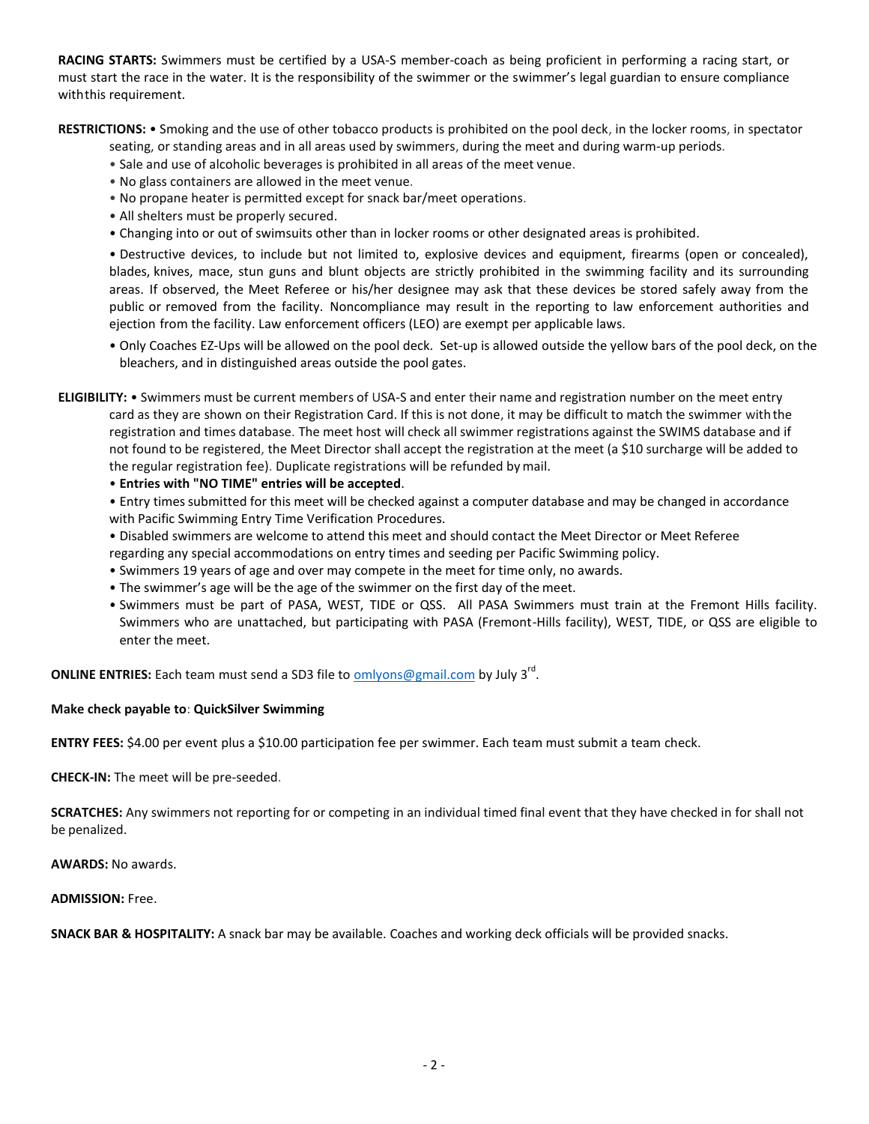**RACING STARTS:** Swimmers must be certified by a USA-S member-coach as being proficient in performing a racing start, or must start the race in the water. It is the responsibility of the swimmer or the swimmer's legal guardian to ensure compliance with this requirement.

**RESTRICTIONS:** • Smoking and the use of other tobacco products is prohibited on the pool deck, in the locker rooms, in spectator

seating, or standing areas and in all areas used by swimmers, during the meet and during warm-up periods.

- Sale and use of alcoholic beverages is prohibited in all areas of the meet venue.
- No glass containers are allowed in the meet venue.
- No propane heater is permitted except for snack bar/meet operations.
- All shelters must be properly secured.
- Changing into or out of swimsuits other than in locker rooms or other designated areas is prohibited.

• Destructive devices, to include but not limited to, explosive devices and equipment, firearms (open or concealed), blades, knives, mace, stun guns and blunt objects are strictly prohibited in the swimming facility and its surrounding areas. If observed, the Meet Referee or his/her designee may ask that these devices be stored safely away from the public or removed from the facility. Noncompliance may result in the reporting to law enforcement authorities and ejection from the facility. Law enforcement officers (LEO) are exempt per applicable laws.

- Only Coaches EZ-Ups will be allowed on the pool deck. Set-up is allowed outside the yellow bars of the pool deck, on the bleachers, and in distinguished areas outside the pool gates.
- **ELIGIBILITY:** Swimmers must be current members of USA-S and enter their name and registration number on the meet entry card as they are shown on their Registration Card. If this is not done, it may be difficult to match the swimmer withthe registration and times database. The meet host will check all swimmer registrations against the SWIMS database and if not found to be registered, the Meet Director shall accept the registration at the meet (a \$10 surcharge will be added to the regular registration fee). Duplicate registrations will be refunded bymail.
	- **Entries with "NO TIME" entries will be accepted**.
	- Entry times submitted for this meet will be checked against a computer database and may be changed in accordance with Pacific Swimming Entry Time Verification Procedures.
	- Disabled swimmers are welcome to attend this meet and should contact the Meet Director or Meet Referee
	- regarding any special accommodations on entry times and seeding per Pacific Swimming policy.
	- Swimmers 19 years of age and over may compete in the meet for time only, no awards.
	- The swimmer's age will be the age of the swimmer on the first day of the meet.
	- Swimmers must be part of PASA, WEST, TIDE or QSS. All PASA Swimmers must train at the Fremont Hills facility. Swimmers who are unattached, but participating with PASA (Fremont-Hills facility), WEST, TIDE, or QSS are eligible to enter the meet.

**ONLINE ENTRIES:** Each team must send a SD3 file to **omlyons@gmail.com** by July 3<sup>rd</sup>.

## **Make check payable to**: **QuickSilver Swimming**

**ENTRY FEES:** \$4.00 per event plus a \$10.00 participation fee per swimmer. Each team must submit a team check.

**CHECK-IN:** The meet will be pre-seeded.

**SCRATCHES:** Any swimmers not reporting for or competing in an individual timed final event that they have checked in for shall not be penalized.

**AWARDS:** No awards.

**ADMISSION:** Free.

**SNACK BAR & HOSPITALITY:** A snack bar may be available. Coaches and working deck officials will be provided snacks.